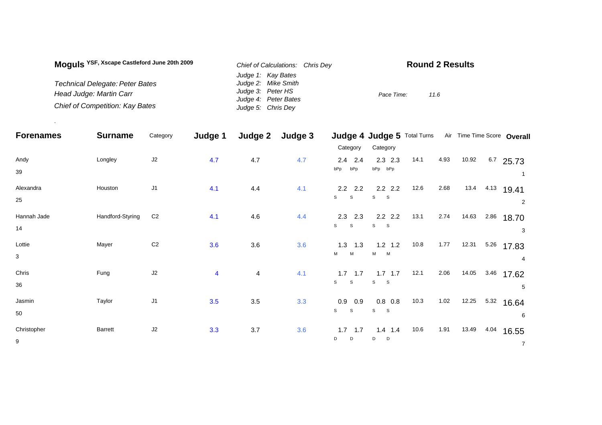| Moquis YSF, Xscape Castleford June 20th 2009 | Chief of Calculations: Chris Dev | <b>Round 2 Results</b> |
|----------------------------------------------|----------------------------------|------------------------|
|                                              | Judge 1: Kay Bates               |                        |
| Technical Delegate: Peter Bates              | Judge 2: Mike Smith              |                        |
| Head Judge: Martin Carr                      | Judge 3: Peter HS                | Pace Time:<br>11.6     |
|                                              | Judge 4: Peter Bates             |                        |
| Chief of Competition: Kay Bates              | Judge 5: Chris Dey               |                        |

.

| <b>Forenames</b>  | <b>Surname</b>   | Category       | Judge 1                 | Judge 2                 | Judge 3 |                                        | Judge 4 Judge 5 Total Turns              |      |      |       |      | Air Time Time Score Overall |
|-------------------|------------------|----------------|-------------------------|-------------------------|---------|----------------------------------------|------------------------------------------|------|------|-------|------|-----------------------------|
|                   |                  |                |                         |                         |         | Category                               | Category                                 |      |      |       |      |                             |
| Andy<br>39        | Longley          | J2             | 4.7                     | 4.7                     | 4.7     | $2.4$ 2.4<br>bPp<br>bPp                | $2.3$ 2.3<br>bPp bPp                     | 14.1 | 4.93 | 10.92 |      | $6.7$ 25.73                 |
| Alexandra<br>25   | Houston          | J <sub>1</sub> | 4.1                     | 4.4                     | 4.1     | $2.2$ 2.2<br>$\mathsf{s}$<br>${\tt S}$ | $2.2$ 2.2<br>S<br>S                      | 12.6 | 2.68 | 13.4  | 4.13 | 19.41<br>2                  |
| Hannah Jade<br>14 | Handford-Styring | C <sub>2</sub> | 4.1                     | 4.6                     | 4.4     | $2.3$ 2.3<br>$\mathsf{s}$<br>S         | $2.2$ 2.2<br>$\mathbf s$<br>$\mathbf{s}$ | 13.1 | 2.74 | 14.63 | 2.86 | 18.70<br>3                  |
| Lottie<br>3       | Mayer            | C <sub>2</sub> | 3.6                     | 3.6                     | 3.6     | $1.3$ 1.3<br>M<br>M                    | $1.2$ 1.2<br>$M$ $M$                     | 10.8 | 1.77 | 12.31 | 5.26 | 17.83<br>4                  |
| Chris<br>36       | Fung             | J <sub>2</sub> | $\overline{\mathbf{4}}$ | $\overline{\mathbf{4}}$ | 4.1     | $1.7$ 1.7<br>S<br>$\mathbf{s}$         | $1.7$ 1.7<br>$\mathbf s$<br>$\mathbf{s}$ | 12.1 | 2.06 | 14.05 | 3.46 | 17.62<br>5                  |
| Jasmin<br>50      | Taylor           | J <sub>1</sub> | 3.5                     | 3.5                     | 3.3     | 0.9<br>0.9<br>$\mathsf S$<br>S         | $0.8\ 0.8$<br>S<br>$\mathbf{s}$          | 10.3 | 1.02 | 12.25 | 5.32 | 16.64<br>6                  |
| Christopher<br>9  | Barrett          | J2             | 3.3                     | 3.7                     | 3.6     | 1.7<br>1.7<br>D<br>D                   | $1.4$ 1.4<br>D<br>D                      | 10.6 | 1.91 | 13.49 | 4.04 | 16.55<br>$\overline{7}$     |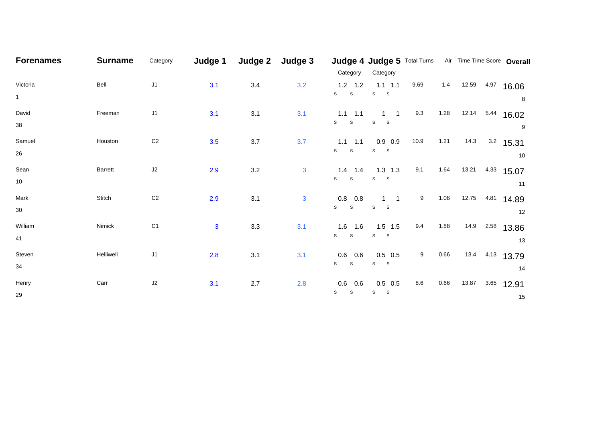| <b>Forenames</b>         | <b>Surname</b> | Category       | Judge 1      | Judge 2 | Judge 3 | Category                              | Category                              |      |      | Judge 4 Judge 5 Total Turns Air Time Time Score Overall |                   |
|--------------------------|----------------|----------------|--------------|---------|---------|---------------------------------------|---------------------------------------|------|------|---------------------------------------------------------|-------------------|
| Victoria<br>$\mathbf{1}$ | Bell           | J1             | 3.1          | $3.4$   | 3.2     | $1.2$ 1.2<br>S<br>${\tt S}$           | $1.1$ $1.1$<br>${\tt S}$<br>S.        | 9.69 | 1.4  | 12.59 4.97 16.06                                        | 8                 |
| David<br>38              | Freeman        | J1             | 3.1          | 3.1     | 3.1     | $1.1$ $1.1$<br>S<br>S                 | $1 \quad 1$<br>S<br>$\mathbf{s}$      | 9.3  | 1.28 | 12.14                                                   | 5.44 16.02<br>9   |
| Samuel<br>26             | Houston        | C <sub>2</sub> | 3.5          | 3.7     | 3.7     | $1.1 \quad 1.1$<br>S<br>$\mathsf{s}$  | $0.9$ 0.9<br>S<br>S                   | 10.9 | 1.21 | 14.3                                                    | $3.2$ 15.31<br>10 |
| Sean<br>10               | <b>Barrett</b> | J2             | 2.9          | $3.2\,$ | 3       | $1.4$ 1.4<br>S<br>$\mathsf{s}$        | $1.3$ 1.3<br>S<br>S                   | 9.1  | 1.64 | 13.21<br>4.33                                           | 15.07<br>11       |
| Mark<br>30               | Stitch         | C <sub>2</sub> | 2.9          | 3.1     | 3       | $0.8\quad 0.8$<br>S<br>${\tt S}$      | $1 \quad 1$<br>$\mathbb S$<br>S.      | 9    | 1.08 | 12.75   4.81                                            | 14.89<br>12       |
| William<br>41            | Nimick         | C <sub>1</sub> | $\mathbf{3}$ | 3.3     | 3.1     | $1.6$ 1.6<br>S<br>$\mathsf S$         | $1.5$ 1.5<br>S<br>$\mathsf S$         | 9.4  | 1.88 | 14.9 2.58                                               | 13.86<br>13       |
| Steven<br>34             | Helliwell      | J1             | 2.8          | 3.1     | 3.1     | $0.6\quad 0.6$<br>S<br>$\mathbb S$    | $0.5$ 0.5<br>S<br>S                   | 9    | 0.66 | 13.4 4.13 13.79                                         | 14                |
| Henry<br>29              | Carr           | $\sf J2$       | 3.1          | $2.7\,$ | 2.8     | $0.6$ 0.6<br>${\tt S}$<br>$\mathbb S$ | $0.5$ 0.5<br>${\tt S}$<br>$\mathbf S$ | 8.6  | 0.66 | 13.87<br>3.65                                           | 12.91<br>15       |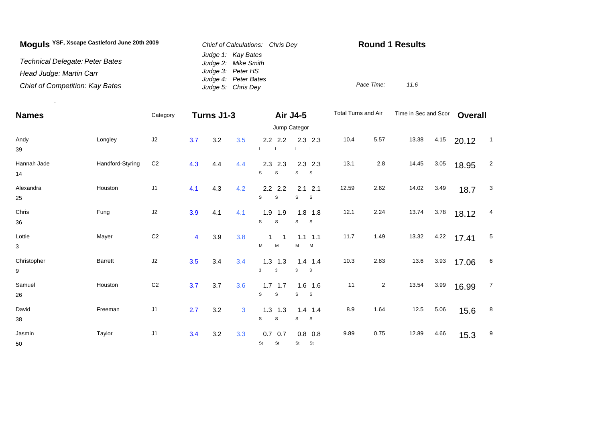| Moguls YSF, Xscape Castleford June 20th 2009 | Chief of Calculations: Chris Dev           | <b>Round 1 Results</b> |      |
|----------------------------------------------|--------------------------------------------|------------------------|------|
| Technical Delegate: Peter Bates              | Judge 1: Kay Bates<br>Judge 2: Mike Smith  |                        |      |
| Head Judge: Martin Carr                      | Judge 3: Peter HS                          |                        |      |
| Chief of Competition: Kay Bates              | Judge 4: Peter Bates<br>Judge 5: Chris Dey | Pace Time:             | 11.6 |

.

| <b>Names</b>           |                  | Category       | Turns J1-3<br><b>Air J4-5</b> |     | Total Turns and Air |                                           | Time in Sec and Scor           |       | <b>Overall</b> |       |          |       |                          |
|------------------------|------------------|----------------|-------------------------------|-----|---------------------|-------------------------------------------|--------------------------------|-------|----------------|-------|----------|-------|--------------------------|
|                        |                  |                |                               |     |                     |                                           | Jump Categor                   |       |                |       |          |       |                          |
| Andy<br>39             | Longley          | J2             | 3.7                           | 3.2 | 3.5                 | $2.2$ 2.2                                 | $2.3$ 2.3                      | 10.4  | 5.57           | 13.38 | 4.15     | 20.12 | $\overline{\phantom{0}}$ |
| Hannah Jade<br>14      | Handford-Styring | C <sub>2</sub> | 4.3                           | 4.4 | 4.4                 | 2.3<br>2.3<br>$\mathsf{s}$<br>$\mathbb S$ | $2.3$ 2.3<br>S<br><sub>S</sub> | 13.1  | 2.8            | 14.45 | $3.05\,$ | 18.95 | $\overline{2}$           |
| Alexandra<br>25        | Houston          | J <sub>1</sub> | 4.1                           | 4.3 | 4.2                 | $2.2$ 2.2<br>S<br>S                       | $2.1$ 2.1<br>S<br>S            | 12.59 | 2.62           | 14.02 | 3.49     | 18.7  | $\mathbf{3}$             |
| Chris<br>36            | Fung             | $\sf J2$       | 3.9                           | 4.1 | 4.1                 | $1.9$ 1.9<br>$\mathsf{s}$<br>$\mathsf s$  | $1.8$ 1.8<br>s<br>S            | 12.1  | 2.24           | 13.74 | 3.78     | 18.12 | 4                        |
| Lottie<br>$\mathbf{3}$ | Mayer            | C <sub>2</sub> | $\overline{\mathbf{4}}$       | 3.9 | 3.8                 | 1<br>$\mathbf 1$<br>M<br>м                | $1.1$ 1.1<br>М<br>M            | 11.7  | 1.49           | 13.32 | 4.22     | 17.41 | 5                        |
| Christopher<br>9       | Barrett          | J2             | 3.5                           | 3.4 | 3.4                 | $1.3$ 1.3<br>$\mathbf{3}$<br>3            | $1.4$ 1.4<br>$\mathbf{3}$<br>3 | 10.3  | 2.83           | 13.6  | 3.93     | 17.06 | 6                        |
| Samuel<br>26           | Houston          | C <sub>2</sub> | 3.7                           | 3.7 | 3.6                 | $1.7$ 1.7<br>$\mathsf{s}$<br>$\mathsf s$  | $1.6$ 1.6<br>s<br>$\mathbf{s}$ | 11    | $\overline{a}$ | 13.54 | 3.99     | 16.99 | $\overline{7}$           |
| David<br>38            | Freeman          | $\sf J1$       | 2.7                           | 3.2 | 3                   | $1.3$ 1.3<br>$\mathbb S$<br>$\mathsf{s}$  | $1.4$ 1.4<br>s<br><sub>S</sub> | 8.9   | 1.64           | 12.5  | 5.06     | 15.6  | 8                        |
| Jasmin<br>50           | Taylor           | $\sf J1$       | 3.4                           | 3.2 | 3.3                 | $0.7\ 0.7$<br>St<br><b>St</b>             | $0.8\ 0.8$<br>St<br>St         | 9.89  | 0.75           | 12.89 | 4.66     | 15.3  | 9                        |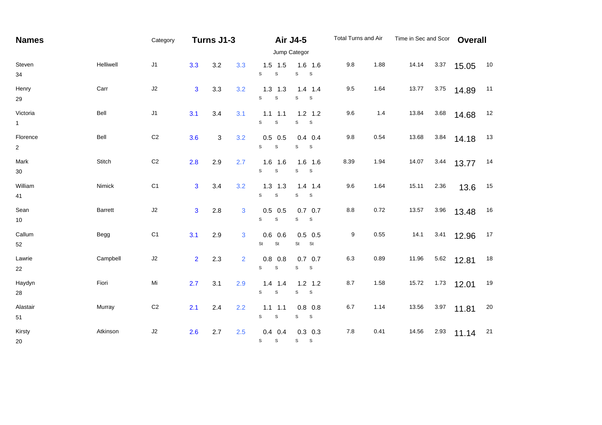| <b>Names</b>               |                | Category       | <b>Air J4-5</b><br>Turns J1-3 |     |     | Total Turns and Air                         |                                          | Time in Sec and Scor |      | <b>Overall</b> |      |       |        |
|----------------------------|----------------|----------------|-------------------------------|-----|-----|---------------------------------------------|------------------------------------------|----------------------|------|----------------|------|-------|--------|
|                            |                |                |                               |     |     |                                             | Jump Categor                             |                      |      |                |      |       |        |
| Steven<br>34               | Helliwell      | J1             | 3.3                           | 3.2 | 3.3 | $1.5$ 1.5<br>S<br>$\mathsf S$               | $1.6$ 1.6<br>s<br>$\mathsf{s}$           | 9.8                  | 1.88 | 14.14          | 3.37 | 15.05 | 10     |
| Henry<br>29                | Carr           | $\sf J2$       | $\overline{3}$                | 3.3 | 3.2 | $1.3$ $1.3$<br>$\mathsf{s}$<br>$\mathsf{s}$ | $1.4$ 1.4<br>S<br>S                      | 9.5                  | 1.64 | 13.77          | 3.75 | 14.89 | 11     |
| Victoria<br>$\mathbf{1}$   | Bell           | J1             | 3.1                           | 3.4 | 3.1 | $1.1$ 1.1<br>S<br>$\mathbf S$               | $1.2$ 1.2<br>S<br>$\mathsf S$            | 9.6                  | 1.4  | 13.84          | 3.68 | 14.68 | 12     |
| Florence<br>$\overline{2}$ | Bell           | C <sub>2</sub> | 3.6                           | 3   | 3.2 | $0.5$ 0.5<br>$\mathsf{s}$<br>$\mathbb S$    | $0.4$ 0.4<br>S<br>S                      | 9.8                  | 0.54 | 13.68          | 3.84 | 14.18 | 13     |
| Mark<br>$30\,$             | Stitch         | $\mathbb{C}2$  | 2.8                           | 2.9 | 2.7 | 1.6<br>1.6<br>$\mathsf{s}$<br>$\mathbb S$   | $1.6$ 1.6<br>$\mathbf S$<br>$\mathbf{s}$ | 8.39                 | 1.94 | 14.07          | 3.44 | 13.77 | 14     |
| William<br>41              | Nimick         | C <sub>1</sub> | $\overline{3}$                | 3.4 | 3.2 | $1.3$ 1.3<br>S<br>S                         | $1.4$ 1.4<br>s<br>S                      | 9.6                  | 1.64 | 15.11          | 2.36 | 13.6  | 15     |
| Sean<br>$10\,$             | <b>Barrett</b> | J2             | $\overline{3}$                | 2.8 | 3   | $0.5$ 0.5<br>S<br>$\mathbb S$               | $0.7\ 0.7$<br>S<br>$\mathsf S$           | $8.8\,$              | 0.72 | 13.57          | 3.96 | 13.48 | 16     |
| Callum<br>52               | Begg           | C <sub>1</sub> | 3.1                           | 2.9 | 3   | 0.6<br>0.6<br>St<br>$\mathsf{St}$           | $0.5$ 0.5<br>St St                       | 9                    | 0.55 | 14.1           | 3.41 | 12.96 | 17     |
| Lawrie<br>22               | Campbell       | J2             | $\overline{2}$                | 2.3 | 2   | $0.8$ 0.8<br>$\mathsf{s}$<br>$\mathbf S$    | $0.7$ 0.7<br>s<br>S                      | 6.3                  | 0.89 | 11.96          | 5.62 | 12.81 | $18$   |
| Haydyn<br>28               | Fiori          | Mi             | 2.7                           | 3.1 | 2.9 | 1.4<br>1.4<br>S<br>$\mathbf S$              | $1.2$ 1.2<br>$\mathbf{s}$<br>s           | 8.7                  | 1.58 | 15.72          | 1.73 | 12.01 | 19     |
| Alastair<br>51             | Murray         | $\mathbb{C}2$  | 2.1                           | 2.4 | 2.2 | $1.1$ 1.1<br>${\tt S}$<br>$\mathbb S$       | $0.8$ 0.8<br>s<br>S                      | 6.7                  | 1.14 | 13.56          | 3.97 | 11.81 | $20\,$ |
| Kirsty<br>20               | Atkinson       | $\sf J2$       | 2.6                           | 2.7 | 2.5 | $0.4$ 0.4<br>$\mathbb S$<br>$\mathsf{s}$    | $0.3$ 0.3<br>S<br>S                      | $7.8$                | 0.41 | 14.56          | 2.93 | 11.14 | 21     |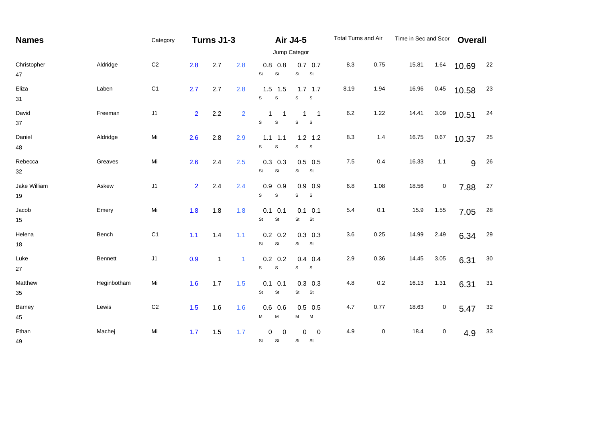| <b>Names</b>       |             | Category       |                | Turns J1-3   |                |                                                    | <b>Air J4-5</b><br>Jump Categor                             | Total Turns and Air |           | Time in Sec and Scor |           | <b>Overall</b> |            |
|--------------------|-------------|----------------|----------------|--------------|----------------|----------------------------------------------------|-------------------------------------------------------------|---------------------|-----------|----------------------|-----------|----------------|------------|
| Christopher<br>47  | Aldridge    | C <sub>2</sub> | 2.8            | 2.7          | 2.8            | $0.8$ 0.8<br>St<br>St                              | $0.7$ 0.7<br>St<br>St                                       | 8.3                 | 0.75      | 15.81                | 1.64      | 10.69          | 22         |
| Eliza<br>31        | Laben       | C <sub>1</sub> | 2.7            | 2.7          | 2.8            | $1.5$ 1.5<br>S<br>$\mathbf S$                      | $1.7$ 1.7<br>S<br>$\mathsf S$                               | 8.19                | 1.94      | 16.96                | 0.45      | 10.58          | 23         |
| David<br>37        | Freeman     | J1             | 2 <sup>1</sup> | 2.2          | $\overline{2}$ | $\mathbf{1}$<br>$\overline{1}$<br>S<br>$\mathsf S$ | 1<br>$\overline{\phantom{1}}$<br>$\mathsf s$<br>$\mathsf S$ | 6.2                 | 1.22      | 14.41                | 3.09      | 10.51          | 24         |
| Daniel<br>48       | Aldridge    | Mi             | 2.6            | 2.8          | 2.9            | $1.1$ 1.1<br>$\mathsf{s}$<br>$\mathsf S$           | $1.2$ 1.2<br>S<br>$\mathbb S$                               | 8.3                 | 1.4       | 16.75                | 0.67      | 10.37          | 25         |
| Rebecca<br>32      | Greaves     | Mi             | 2.6            | 2.4          | 2.5            | $0.3$ 0.3<br>St<br>St                              | $0.5$ 0.5<br>St<br>St                                       | $7.5$               | 0.4       | 16.33                | 1.1       | 9              | 26         |
| Jake William<br>19 | Askew       | J1             | 2 <sup>1</sup> | 2.4          | 2.4            | $0.9$ 0.9<br>S<br>$\mathbf S$                      | $0.9$ 0.9<br>S<br>$\mathsf S$                               | $6.8\,$             | 1.08      | 18.56                | $\pmb{0}$ | 7.88           | 27         |
| Jacob<br>15        | Emery       | Mi             | 1.8            | 1.8          | 1.8            | $0.1$ 0.1<br>St<br>$\mathsf{St}$                   | $0.1$ 0.1<br>St<br>St                                       | 5.4                 | 0.1       | 15.9                 | 1.55      | 7.05           | ${\bf 28}$ |
| Helena<br>18       | Bench       | C <sub>1</sub> | $1.1$          | 1.4          | 1.1            | $0.2\ 0.2$<br>St<br>$\mathsf{St}$                  | $0.3$ 0.3<br>St<br>St                                       | 3.6                 | 0.25      | 14.99                | 2.49      | 6.34           | 29         |
| Luke<br>27         | Bennett     | J1             | 0.9            | $\mathbf{1}$ | $\mathbf{1}$   | $0.2\ 0.2$<br>$\mathsf{s}$<br>$\mathbb S$          | $0.4$ 0.4<br>s<br>$\mathsf S$                               | 2.9                 | 0.36      | 14.45                | $3.05$    | 6.31           | $30\,$     |
| Matthew<br>35      | Heginbotham | Mi             | 1.6            | 1.7          | 1.5            | $0.1$ 0.1<br>St<br>$\mathsf{St}$                   | $0.3$ 0.3<br>St<br>St                                       | 4.8                 | $0.2\,$   | 16.13                | 1.31      | 6.31           | 31         |
| Barney<br>45       | Lewis       | $\mbox{C2}$    | 1.5            | 1.6          | 1.6            | $0.6$ 0.6<br>М<br>M                                | $0.5$ 0.5<br>M<br>М                                         | 4.7                 | 0.77      | 18.63                | $\pmb{0}$ | 5.47           | $32\,$     |
| Ethan<br>49        | Machej      | Mi             | 1.7            | 1.5          | 1.7            | 0<br>$\mathbf 0$<br>St<br>St                       | 0<br>$\boldsymbol{0}$<br>St<br>St                           | 4.9                 | $\pmb{0}$ | 18.4                 | $\pmb{0}$ | 4.9            | 33         |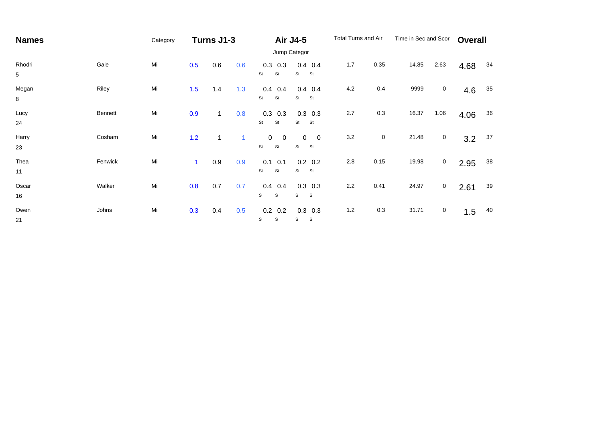| <b>Names</b>              |         | Category |              | Turns J1-3   |              |                                                 | <b>Air J4-5</b>                                    | Total Turns and Air |      | Time in Sec and Scor |             | <b>Overall</b> |    |
|---------------------------|---------|----------|--------------|--------------|--------------|-------------------------------------------------|----------------------------------------------------|---------------------|------|----------------------|-------------|----------------|----|
|                           |         |          |              |              |              |                                                 | Jump Categor                                       |                     |      |                      |             |                |    |
| Rhodri<br>$5\phantom{.0}$ | Gale    | Mi       | 0.5          | 0.6          | 0.6          | 0.3<br>0.3<br>St<br>St                          | $0.4$ 0.4<br>St<br>St                              | 1.7                 | 0.35 | 14.85                | 2.63        | 4.68           | 34 |
| Megan<br>8                | Riley   | Mi       | 1.5          | 1.4          | 1.3          | 0.4<br>0.4<br>St<br>St                          | $0.4$ 0.4<br>St<br>St                              | 4.2                 | 0.4  | 9999                 | $\mathbf 0$ | 4.6            | 35 |
| Lucy<br>24                | Bennett | Mi       | 0.9          | $\mathbf{1}$ | 0.8          | 0.3<br>0.3<br>St<br>St                          | $0.3$ 0.3<br>St<br>St                              | 2.7                 | 0.3  | 16.37                | 1.06        | 4.06           | 36 |
| Harry<br>23               | Cosham  | Mi       | 1.2          | 1            | $\mathbf{1}$ | 0<br>$\overline{\mathbf{0}}$<br>St<br><b>St</b> | $\mathbf 0$<br>$\overline{\mathbf{0}}$<br>St<br>St | $3.2\,$             | 0    | 21.48                | $\mathbf 0$ | 3.2            | 37 |
| Thea<br>11                | Fenwick | Mi       | $\mathbf{1}$ | 0.9          | 0.9          | 0.1<br>0.1<br>St<br>St                          | $0.2\ 0.2$<br>St<br>St                             | 2.8                 | 0.15 | 19.98                | $\mathbf 0$ | 2.95           | 38 |
| Oscar<br>16               | Walker  | Mi       | 0.8          | 0.7          | 0.7          | 0.4<br>0.4<br>S<br>S                            | $0.3$ 0.3<br>S<br>s                                | 2.2                 | 0.41 | 24.97                | $\mathbf 0$ | 2.61           | 39 |
| Owen<br>21                | Johns   | Mi       | 0.3          | 0.4          | 0.5          | $0.2\ 0.2$<br>S<br>S                            | $0.3$ 0.3<br>S<br>S                                | $1.2$               | 0.3  | 31.71                | $\mathbf 0$ | 1.5            | 40 |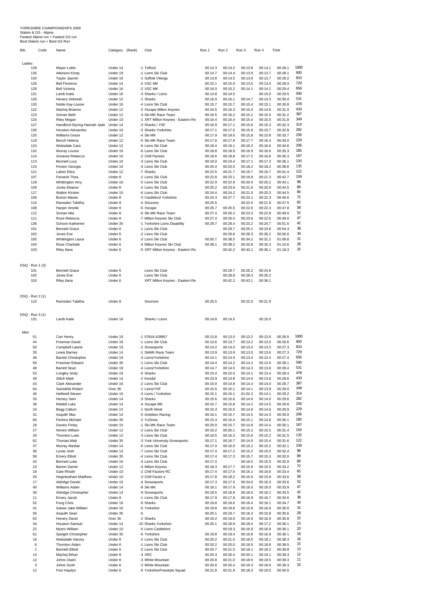## YORKSHIRE CHAMPIONSHIPS 2009 Slalom & GS - Alpine Fastest Alpine run + Fastest GS run Best Slalom run + Best GS Run

| Bib.   | Code            | Name                         | Category | (Rank) | Club                              | Run 1   | Run 2   | Run 3   | Run 4   | Time    |      |
|--------|-----------------|------------------------------|----------|--------|-----------------------------------|---------|---------|---------|---------|---------|------|
| Ladies |                 |                              |          |        |                                   |         |         |         |         |         |      |
|        | 128             | Mayer Lottie                 | Under 14 |        | -1 Telford                        | 00:14.3 | 00:14.2 | 00:13.8 | 00:14.1 | 00:28.1 | 1000 |
|        | 135             | <b>Atkinson Kirsty</b>       | Under 19 |        | -1 Lions Ski Club                 | 00:14.7 | 00:14.4 | 00:13.9 | 00:13.7 | 00:28.1 | 900  |
|        | 134             | Taylor Jasmin                | Under 16 |        | -1 Suffolk Vikings                | 00:14.8 | 00:14.5 | 00:13.9 | 00:13.7 | 00:28.2 | 810  |
|        | 126             | <b>Bell Florence</b>         | Under 14 |        | -2 XSC MK                         | 00:15.1 | 00:15.0 | 00:13.5 | 00:13.4 | 00:28.4 | 729  |
|        | 129             | <b>Bell Victoria</b>         | Under 16 |        | -2 XSC MK                         | 00:16.0 | 00:15.2 | 00:14.1 | 00:14.2 | 00:29.4 | 656  |
|        | 131             | Lamb Katie                   | Under 16 |        | -3 Sharks / Lions                 | 00:14.8 | 00:14.5 |         | 00:15.0 | 00:29.5 | 590  |
|        | 120             | Henery Deborah               | Under 12 |        | -1 Sharks                         | 00:16.9 | 00:16.1 | 00:14.7 | 00:14.3 | 00:30.4 | 531  |
|        | 133             | Noble Kay-Louise             | Under 16 |        | -4 Lions Ski Club                 | 00:15.7 | 00:15.7 | 00:15.4 | 00:15.1 | 00:30.8 | 478  |
|        | 122             | Machej Brianna               | Under 12 |        | -2 Xscape Milton Keynes           | 00:16.5 | 00:16.3 | 00:15.0 | 00:14.6 | 00:31.0 | 430  |
|        | 123             | Soman Beth                   | Under 12 |        | -3 Ski MK Race Team               | 00:16.5 | 00:16.2 | 00:15.2 | 00:15.0 | 00:31.2 | 387  |
|        | 116             | <b>Riley Megan</b>           | Under 10 |        | -1 XRT Milton Keynes - Eastern Re | 00:16.4 | 00:16.4 | 00:15.4 | 00:15.5 | 00:31.8 | 349  |
|        | 127             | Handford-Styring Hannah Jade | Under 14 |        | -3 Sharks / YSF                   | 00:16.9 | 00:17.1 | 00:15.6 | 00:15.3 | 00:32.3 | 314  |
|        | 130             | <b>Houston Alexandra</b>     | Under 16 |        | -5 Sharks Yorkshire               | 00:17.1 | 00:17.5 | 00:15.9 | 00:15.7 | 00:32.8 | 282  |
|        | 125             | <b>Williams Grace</b>        | Under 12 |        | -4 Ski MK                         | 00:17.9 | 00:18.0 | 00:15.8 | 00:15.8 | 00:33.7 | 256  |
|        | 119             | Bench Helena                 | Under 12 |        | -5 Ski MK Race Team               | 00:17.6 | 00:17.9 | 00:17.7 | 00:16.4 | 00:34.0 | 229  |
|        | 124             | Websdale Cara                | Under 12 |        | -6 Lions Ski Club                 | 00:18.4 | 00:19.1 | 00:16.2 | 00:16.6 | 00:34.6 | 206  |
|        | 132             | Murray Louisa                | Under 16 |        | -6 Lions Ski Club                 | 00:18.8 | 00:18.9 | 00:16.9 | 00:16.6 | 00:35.3 | 185  |
|        | 114             | Greaves Rebecca              | Under 10 |        | -2 Chill Factore                  | 00:18.6 | 00:18.8 | 00:17.2 | 00:16.8 | 00:35.3 | 167  |
|        | 113             | <b>Bennett Lucy</b>          | Under 10 |        | -3 Lions Ski Club                 | 00:19.0 | 00:19.4 | 00:17.1 | 00:17.3 | 00:36.1 | 150  |
|        | 115             | Pexton Georgia               | Under 10 |        | -4 Lions Ski Club                 | 00:20.4 | 00:20.5 | 00:18.2 | 00:18.2 | 00:38.6 | 135  |
|        | 121             | Laben Eliza                  | Under 12 |        | -7 Sharks                         | 00:22.5 | 00:21.7 | 00:19.7 | 00:19.7 | 00:41.4 | 122  |
|        | 107             | Fenwick Thea                 | Under 8  |        | -1 Lions Ski Club                 | 00:22.8 | 00:23.1 | 00:19.9 | 00:21.3 | 00:42.7 | 109  |
|        | 118             | <b>Whittington Amy</b>       | Under 10 |        | -5 Lions Ski Club                 | 00:22.9 | 00:22.9 | 00:20.4 | 00:20.2 | 00:43.1 | 98   |
|        | 109             | Jones Eleanor                | Under 8  |        | -2 Lions Ski Club                 | 00:25.2 | 00:23.6 | 00:21.6 | 00:20.8 | 00:44.5 | 89   |
|        | 117             | <b>Walton Kirsten</b>        | Under 10 |        | -6 Lions Ski Club                 | 00:24.4 | 00:24.2 | 00:21.5 | 00:20.3 | 00:44.5 | 80   |
|        | 106             | <b>Burton Maisie</b>         | Under 8  |        | -3 Castleford Yorkshire           | 00:24.3 | 00:27.7 | 00:23.1 | 00:22.3 | 00:46.6 | 72   |
|        | 110             | Ramsden Tabitha              | Under 8  |        | -4 Snozone                        | 00:25.5 |         | 00:22.0 | 00:21.9 | 00:47.5 | 65   |
|        | 108             | Harper Amelie                | Under 8  |        | -5 Xscape                         | 00:26.7 | 00:25.5 | 00:22.6 | 00:22.3 | 00:47.8 | 58   |
|        | 112             | Soman Mia                    | Under 8  |        | -6 Ski MK Race Team               | 00:27.4 | 00:26.2 | 00:23.3 | 00:22.8 | 00:49.0 | 52   |
|        | 111             | Rose Rebecca                 | Under 8  |        | -7 Milton Keynes Ski Club         | 00:27.4 | 00:26.4 | 00:23.6 | 00:22.6 | 00:49.0 | 47   |
|        | 136             | Schoon Katherine             | Under 35 |        | -1 Yorkshire Lions Disability     | 00:29.7 | 00:28.4 | 00:23.2 | 00:24.7 | 00:51.6 | 42   |
|        | 101             | <b>Bennett Grace</b>         | Under 6  |        | -1 Lions Ski Club                 |         | 00:29.7 | 00:25.2 | 00:24.6 | 00:54.3 | 38   |
|        | 102             | Jones Eve                    | Under 6  |        | -2 Lions Ski Club                 |         | 00:29.8 | 00:28.3 | 00:26.2 | 00:56.0 | 34   |
|        | 105             | Whittington Laura            | Under 6  |        | -3 Lions Ski Club                 | 00:50.7 | 00:38.5 | 00:34.2 | 00:31.2 | 01:09.8 | 31   |
|        | 104             | Rose Charlotte               | Under 6  |        | -4 Milton Keynes Ski Club         | 00:39.1 | 00:38.2 | 00:32.8 | 00:32.4 | 01:10.6 | 28   |
|        | 103             | Riley Ilana                  | Under 6  |        | -5 XRT Milton Keynes - Eastern Re |         | 00:42.2 | 00:43.1 | 00:36.1 | 01:18.3 | 25   |
|        | DSQ - Run 1 (3) |                              |          |        |                                   |         |         |         |         |         |      |
|        | 101             | <b>Bennett Grace</b>         | Under 6  |        | Lions Ski Club                    |         | 00:29.7 | 00:25.2 | 00:24.6 |         |      |
|        | 102             | Jones Eve                    | Under 6  |        | Lions Ski Club                    |         | 00:29.8 | 00:28.3 | 00:26.2 |         |      |
|        | 103             | Riley Ilana                  | Under 6  |        | XRT Milton Keynes - Eastern Re    |         | 00:42.2 | 00:43.1 | 00:36.1 |         |      |
|        |                 |                              |          |        |                                   |         |         |         |         |         |      |
|        | DSQ - Run 2 (1) |                              |          |        |                                   |         |         |         |         |         |      |
|        | 110             | Ramsden Tabitha              | Under 8  |        | Snozone                           | 00:25.5 |         | 00:22.0 | 00:21.9 |         |      |
|        | DSQ - Run 3 (1) |                              |          |        |                                   |         |         |         |         |         |      |
|        | 131             | Lamb Katie                   | Under 16 |        | Sharks / Lions                    | 00:14.8 | 00:14.5 |         | 00:15.0 |         |      |

| 51 | Carr Henry                 | Under 19 | -1 07818 428857               | 00:13.8 | 00:13.5 | 00:13.2 | 00:13.0 | 00:26.5 | 1000 |
|----|----------------------------|----------|-------------------------------|---------|---------|---------|---------|---------|------|
| 44 | <b>Freeman David</b>       | Under 16 | -1 Lions Ski Club             | 00:13.6 | 00:13.7 | 00:13.2 | 00:13.0 | 00:26.6 | 900  |
| 50 | Campbell Lawrie            | Under 19 | -2 Snowsports                 | 00:14.2 | 00:14.0 | 00:13.4 | 00:13.3 | 00:27.3 | 810  |
| 35 | Lewis Barney               | Under 14 | -1 SkiMK Race Team            | 00:13.9 | 00:13.9 | 00:13.5 | 00:13.6 | 00:27.3 | 729  |
| 48 | <b>Barrett Christopher</b> | Under 19 | -3 Lions/Yorkshire            | 00:14.1 | 00:14.0 | 00:13.4 | 00:13.4 | 00:27.4 | 656  |
| 59 | Freeman Edward             | Under 35 | -1 Lions Ski Club             | 00:14.4 | 00:14.2 | 00:14.2 | 00:13.9 | 00:28.1 | 590  |
| 49 | <b>Barrett Sean</b>        | Under 19 | -4 Lions/Yorkshire            | 00:14.7 | 00:14.5 | 00:14.3 | 00:13.8 | 00:28.4 | 531  |
| 53 | Longley Andy               | Under 19 | -5 Sharks                     | 00:15.4 | 00:15.0 | 00:14.1 | 00:13.4 | 00:28.4 | 478  |
| 39 | <b>Stitch Mark</b>         | Under 14 | -2 Kendal                     | 00:23.9 | 00:14.8 | 00:14.0 | 00:13.8 | 00:28.6 | 430  |
| 43 | <b>Clark Alexander</b>     | Under 16 | -2 Lions Ski Club             | 00:15.0 | 00:14.8 | 00:14.4 | 00:14.0 | 00:28.7 | 387  |
| 64 | <b>Swindells Robert</b>    | Over 35  | -1 Lions/YSF                  | 00:15.5 | 00:15.1 | 00:14.1 | 00:13.9 | 00:29.0 | 349  |
| 45 | <b>Helliwell Steven</b>    | Under 16 | -3 Lions / Yorkshire          | 00:15.1 | 00:15.1 | 01:02.2 | 00:14.1 | 00:29.2 | 314  |
| 33 | Henery Sam                 | Under 14 | -3 Sharks                     | 00:15.6 | 00:15.6 | 00:14.6 | 00:14.0 | 00:29.6 | 282  |
| 38 | <b>Riddell Luke</b>        | Under 14 | -4 Xscape MK                  | 00:15.7 | 00:15.8 | 00:14.2 | 00:14.5 | 00:29.8 | 256  |
| 24 | Begg Callum                | Under 12 | -1 North West                 | 00:15.3 | 00:15.5 | 00:14.9 | 00:14.6 | 00:29.9 | 229  |
| 31 | Asquith Max                | Under 14 | -5 Ambition Racing            | 00:16.1 | 00:15.7 | 00:14.5 | 00:14.3 | 00:30.0 | 206  |
| 60 | <b>Perkins Michael</b>     | Under 35 | -2 YuSnow                     | 00:15.3 | 00:15.4 | 00:15.1 | 00:14.8 | 00:30.1 | 185  |
| 18 | Davies Finlay              | Under 10 | -1 Ski MK Race Team           | 00:20.0 | 00:15.7 | 00:14.8 | 00:14.4 | 00:30.1 | 167  |
| 27 | Nimick William             | Under 12 | -2 Lions Ski Club             | 00:16.2 | 00:20.1 | 00:15.2 | 00:15.5 | 00:31.4 | 150  |
| 29 | <b>Thornton Luke</b>       | Under 12 | -3 Lions Ski Club             | 00:16.5 | 00:16.3 | 00:15.6 | 00:15.2 | 00:31.5 | 135  |
| 62 | <b>Thomas Matt</b>         | Under 35 | -3 York University Snowsports | 00:17.1 | 00:16.7 | 00:14.9 | 00:15.4 | 00:31.6 | 122  |
| 37 | Murray Alastair            | Under 14 | -6 Lions Ski Club             | 00:17.0 | 00:16.9 | 00:15.2 | 00:15.2 | 00:32.1 | 109  |
| 36 | Lynas Josh                 | Under 14 | -7 Lions Ski Club             | 00:17.4 | 00:17.2 | 00:15.2 | 00:15.5 | 00:32.4 | 98   |
| 58 | <b>Emery Elliott</b>       | Under 35 | -4 Lions Ski Club             | 00:17.4 | 00:17.3 | 00:15.7 | 00:15.3 | 00:32.6 | 89   |
| 42 | <b>Bennett Luke</b>        | Under 16 | -4 Lions Ski Club             | 00:17.4 |         | 00:16.5 | 00:15.5 | 00:32.9 | 80   |
| 23 | <b>Barton Daniel</b>       | Under 12 | -4 Milton Keynes              | 00:18.3 | 00:17.7 | 00:15.9 | 00:15.5 | 00:33.2 | 72   |
| 19 | Gale Rhodri                | Under 10 | -2 Chill Factore RC           | 00:17.4 | 00:17.5 | 00:16.1 | 00:16.6 | 00:33.4 | 65   |
| 20 | Heginbotham Matthew        | Under 10 | -3 Chill Factor e             | 00:17.8 | 00:18.2 | 00:15.9 | 00:15.8 | 00:33.6 | 58   |
| 17 | Aldridge Daniel            | Under 10 | -4 Snowsports                 | 00:17.3 | 00:17.5 | 00:24.0 | 00:16.3 | 00:33.6 | 52   |
| 40 | Williams Adam              | Under 14 | -8 Ski MK                     | 00:18.1 | 00:17.9 | 00:16.0 | 00:16.0 | 00:33.9 | 47   |
| 30 | Aldridge Christopher       | Under 14 | -9 Snowsports                 | 00:18.5 | 00:18.8 | 00:16.0 | 00:16.2 | 00:34.5 | 42   |
| 11 | Emery Jacob                | Under 8  | -1 Lions Ski Club             | 00:17.9 | 00:17.9 | 00:16.9 | 00:16.7 | 00:34.6 | 38   |
| 52 | Fung Chris                 | Under 19 | -6 Sharks                     | 00:19.8 | 00:18.6 | 00:16.4 | 00:16.1 | 00:34.7 | 34   |
| 41 | Askew Jake William         | Under 16 | -5 Yorkshire                  | 00:19.8 | 00:19.6 | 00:15.9 | 00:16.6 | 00:35.5 | 31   |
| 56 | Asquith Sean               | Under 35 | -5                            | 00:20.1 | 00:19.7 | 00:16.3 | 00:15.8 | 00:35.6 | 28   |
| 63 | <b>Henery David</b>        | Over 35  | -2 Sharks                     | 00:19.2 | 00:19.0 | 00:16.9 | 00:16.9 | 00:35.8 | 25   |
| 34 | <b>Houston Samuel</b>      | Under 14 | -10 Sharks Yorkshire          | 00:20.1 | 00:18.9 | 00:18.4 | 00:17.2 | 00:36.1 | 23   |
| 22 | Myers William              | Under 10 | -5 Lions Castleford           |         | 00:19.3 | 00:16.9 | 00:16.9 | 00:36.1 | 20   |
| 61 | Speight Christopher        | Under 35 | -6 Yorkshire                  | 00:19.8 | 00:19.4 | 00:16.8 | 00:16.9 | 00:36.1 | 18   |
| 16 | Websdale Harvey            | Under 8  | -2 Lions Ski Club             | 00:20.2 | 00:21.5 | 00:18.5 | 00:18.1 | 00:38.3 | 16   |
| 6  | <b>Thornton Adam</b>       | Under 6  | -1 Lions Ski Club             | 00:20.2 | 00:20.0 | 00:18.5 | 00:18.8 | 00:38.5 | 15   |
| 1  | <b>Bennett Elliott</b>     | Under 6  | -2 Lions Ski Club             | 00:20.7 | 00:21.5 | 00:18.1 | 00:18.2 | 00:38.8 | 13   |
| 14 | Machej Ethan               | Under 8  | -3 XRC                        | 00:20.3 | 00:20.4 | 00:20.1 | 00:19.1 | 00:39.3 | 12   |
| 13 | Johns Owen                 | Under 8  | -3 White Mountain             | 00:20.8 | 00:21.0 | 00:18.6 | 00:18.5 | 00:39.3 | 11   |
| 3  | Johns Scott                | Under 6  | -3 White Mountain             | 00:20.8 | 00:20.4 | 00:19.3 | 00:18.9 | 00:39.3 | 10   |
| 12 | Fiori Haydyn               | Under 8  | -5 YorkshireFreestyle Squad   | 00:21.8 | 00:21.9 | 00:18.3 | 00:19.5 | 00:40.0 |      |